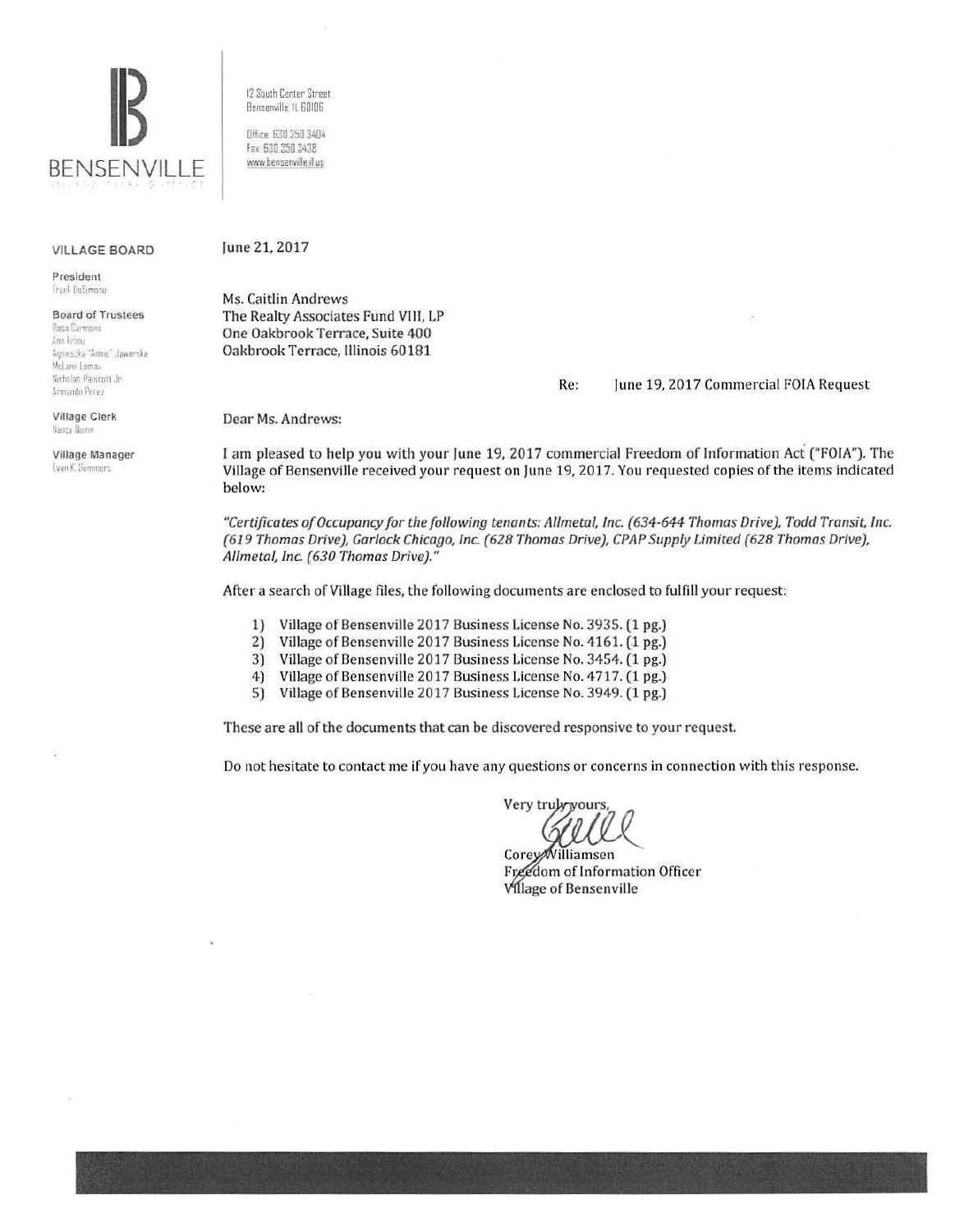

**VILLAGE BOARD** 

President Frank DeSimone

**Board of Trustees** Rosa Carmona Ann Franz Armeszka "Annie" Jaworska McLane Lomax Nicholas Panicola Jr Armando Perez

**Village Clerk** Nancy Dumn

Village Manager Evan K. Summers

12 South Center Street Bensenville, IL 60106

Office: 630.350.3404 Fax: 630 350 3438 www.bensenville.il.us

## June 21, 2017

Ms. Caitlin Andrews The Realty Associates Fund VIII, LP One Oakbrook Terrace, Suite 400 Oakbrook Terrace, Illinois 60181

> Re: June 19, 2017 Commercial FOIA Request

Dear Ms. Andrews:

I am pleased to help you with your June 19, 2017 commercial Freedom of Information Act ("FOIA"). The Village of Bensenville received your request on June 19, 2017. You requested copies of the items indicated below:

"Certificates of Occupancy for the following tenants: Allmetal, Inc. (634-644 Thomas Drive), Todd Transit, Inc. (619 Thomas Drive), Garlock Chicago, Inc. (628 Thomas Drive), CPAP Supply Limited (628 Thomas Drive), Allmetal, Inc. (630 Thomas Drive)."

After a search of Village files, the following documents are enclosed to fulfill your request:

Village of Bensenville 2017 Business License No. 3935. (1 pg.)  $1)$ 

- $2)$ Village of Bensenville 2017 Business License No. 4161. (1 pg.)
- 3) Village of Bensenville 2017 Business License No. 3454. (1 pg.)
- 4) Village of Bensenville 2017 Business License No. 4717. (1 pg.)
- 5) Village of Bensenville 2017 Business License No. 3949. (1 pg.)

These are all of the documents that can be discovered responsive to your request.

Do not hesitate to contact me if you have any questions or concerns in connection with this response.

Very truly yours,

CoreyWilliamsen Freedom of Information Officer **Village of Bensenville**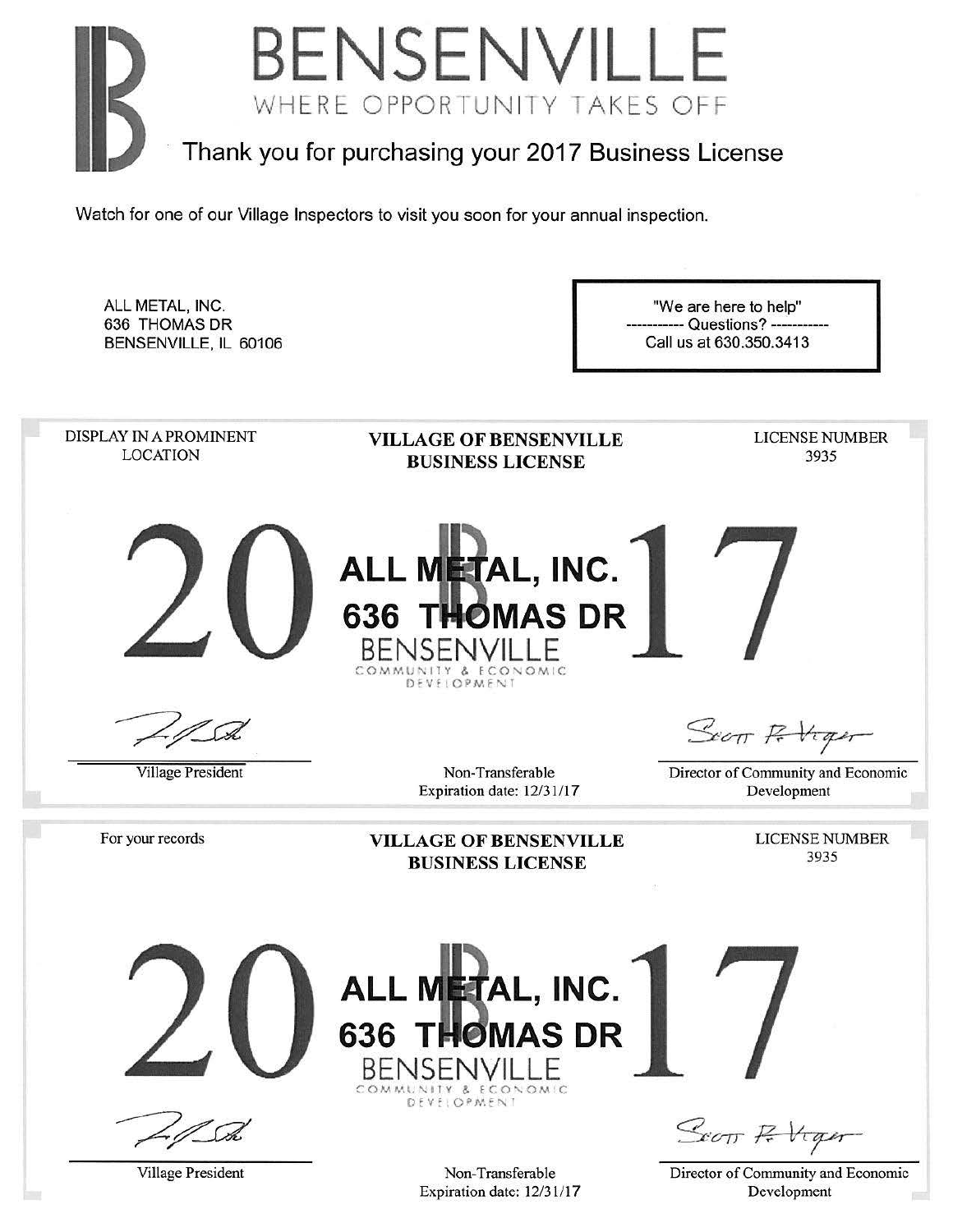

ALL METAL, INC. "We are here to help" 636 THOMAS DR - Questions? ---BENSENVILLE, IL 60106 Call us at 630.350.3413 DISPLAY IN A PROMINENT LICENSE NUMBER VILLAGE OF BENSENVILLE LOCATION 3935 BUSINESS LICENSE **ALL METAL, INC.** 636 THOMAS DR **BENSENVILLE** DEVELOPMENT Secon Robiger Village President Non-Transferable Director of Community and Economic Expiration date: 12/31/17 Development LICENSE NUMBER For your records VILLAGE OF BENSENVILLE 3935 BUSINESS LICENSE **ALL METAL, INC. 636 THOMAS DR** BENSEI COMMUNITY & ECONOMIC DEVELOPMENT

Village President

Non-Transferable Expiration date: 12/31117

Scott Retiger

Director of Community and Economic Development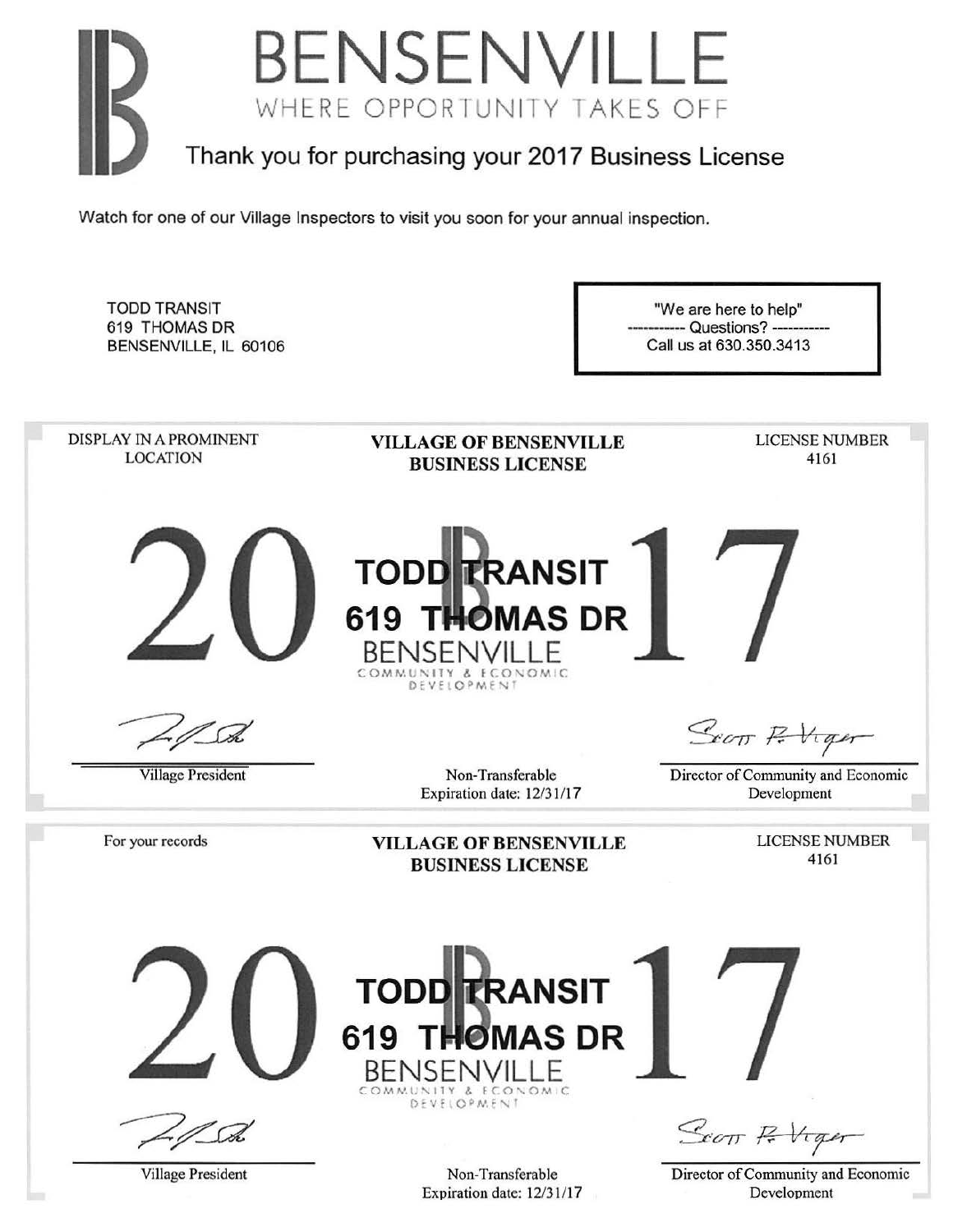

TODD TRANSIT 619 THOMAS DR BENSENVILLE, IL 60106

"We are here to help" --- Questions? --Call us at 630.350.3413

DISPLAY IN A PROMINENT LICENSE NUMBER VILLAGE OF BENSENVILLE LOCATION 4161 BUSINESS LICENSE **TODD TRANSIT 619 THOMAS DR** BENSENVILLE COMMUNITY & ECONOMIC<br>DEVELOPMENT Scott P. Viger Village President Non-Transferable Director of Community and Economic Expiration date: 12/31/17 Development LICENSE NUMBER For your records VILLAGE OF BENSENVILLE 4161 BUSINESS LICENSE **TODD TRANSIT 619 T MAS DR**  BENSENVIL COMMUNITY & ECONOMIC<br>DEVELOPMENT Scott P. Viger Village President Non-Transferable Director of Community and Economic Expiration date: 12/31/17 Development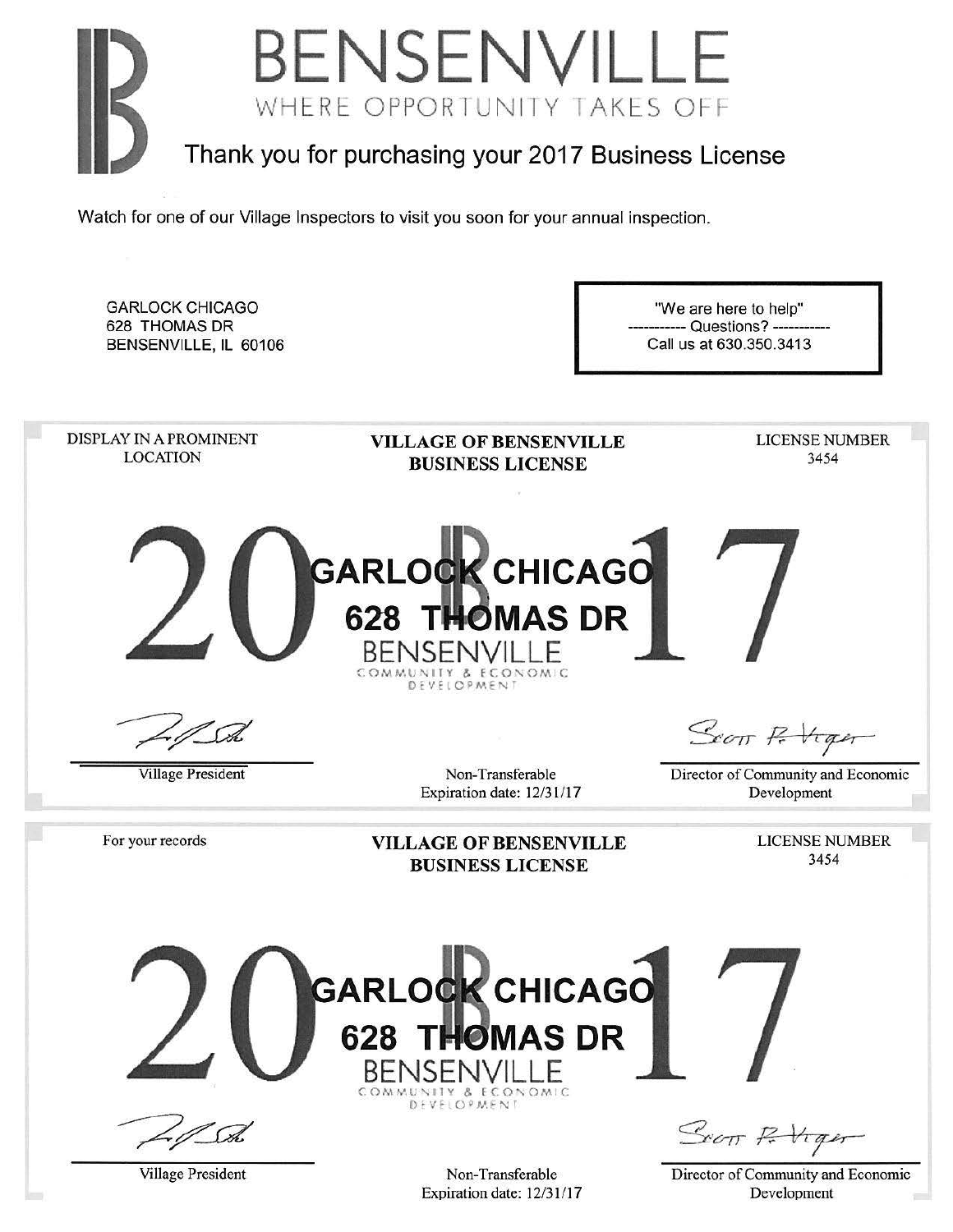

GARLOCK CHICAGO "We are here to help" 628 THOMAS DR - Questions? -BENSENVILLE, IL 60106 Call us at 630.350.3413 DISPLAY IN A PROMINENT LICENSE NUMBER VILLAGE OF BENSENVILLE LOCATION 3454 BUSINESS LICENSE **GARLOCK CHICAGO 628 THOMAS DR** BENSENVILLE MUNITY & ECONOMIC DEVELOPMENT Scott P. Viger Village President Non-Transferable Director of Community and Economic Expiration date: 12/31/17 Development For your records LICENSE NUMBER VILLAGE OF BENSENVILLE 3454 BUSINESS LICENSE **GARLOCK CHICAGO 628 T MAS DR**  BENSENVILLE DEVELOPMENT Scott R Viger

Village President

Non-Transferable Expiration date: 12/31/17 Director of Community and Economic Development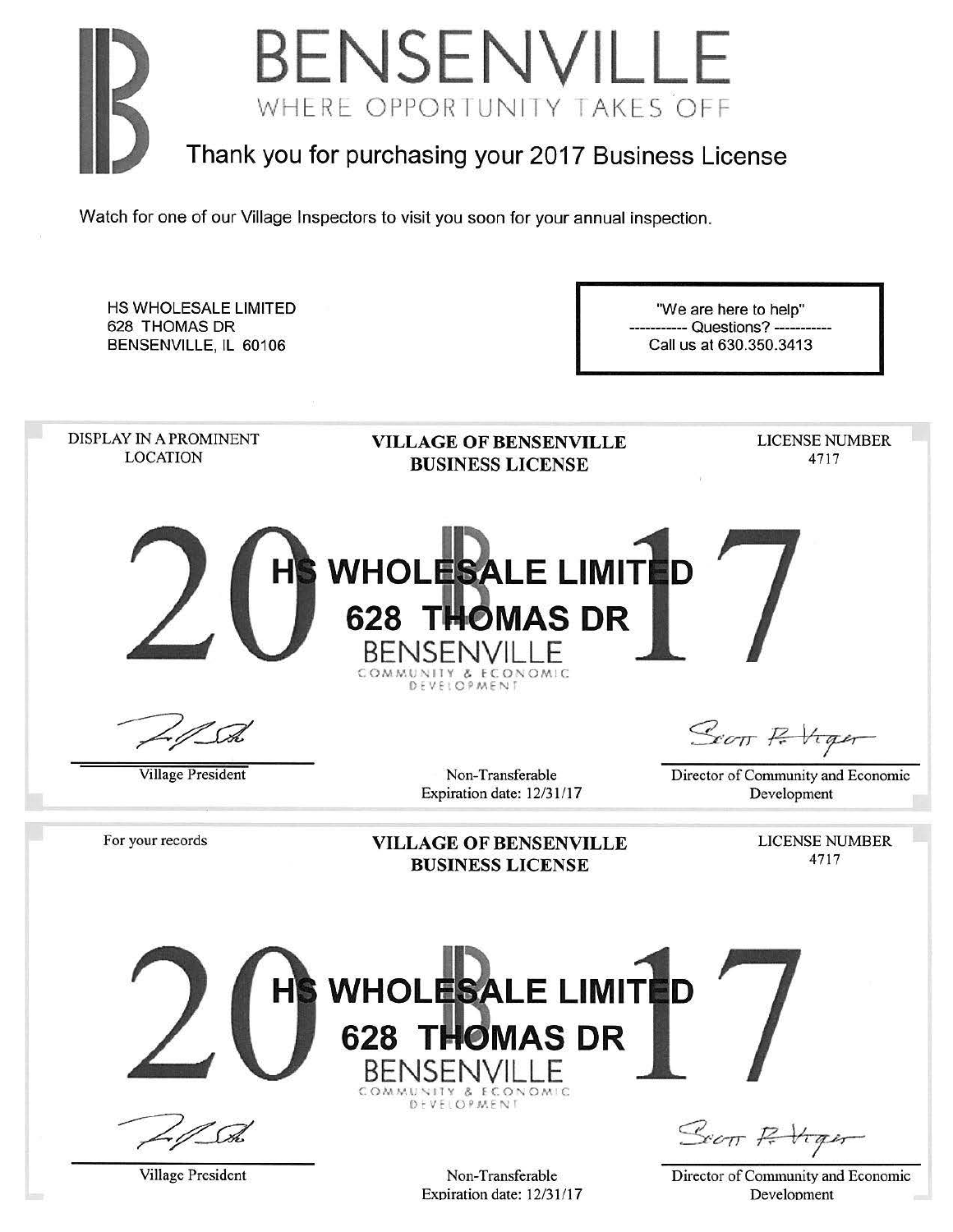

| HS WHOLESALE LIMITED<br>628 THOMAS DR<br>BENSENVILLE, IL 60106 |                                                                                               | "We are here to help"<br>------ Questions? -----------<br>Call us at 630.350.3413 |
|----------------------------------------------------------------|-----------------------------------------------------------------------------------------------|-----------------------------------------------------------------------------------|
| DISPLAY IN A PROMINENT<br><b>LOCATION</b>                      | <b>VILLAGE OF BENSENVILLE</b><br><b>BUSINESS LICENSE</b>                                      | <b>LICENSE NUMBER</b><br>4717                                                     |
| <b>HS</b>                                                      | <b>WHOLESALE LIMITED</b><br>628 THOMAS DR<br><b>BENSENVILL F</b><br>& ECONOMIC<br>DEVELOPMENT |                                                                                   |
|                                                                |                                                                                               | Scott P. Viger                                                                    |
| <b>Village President</b>                                       | Non-Transferable<br>Expiration date: 12/31/17                                                 | Director of Community and Economic<br>Development                                 |
| For your records                                               | <b>VILLAGE OF BENSENVILLE</b><br><b>BUSINESS LICENSE</b>                                      | <b>LICENSE NUMBER</b><br>4717                                                     |
| <b>HS</b>                                                      | <b>WHOLESALE LIMITED</b><br><b>628 THOMAS DR</b><br>BENSEI<br>& ECONOMIC<br>DEVELOPMENT       | Scott Ritiger                                                                     |
| Village President                                              | Non-Transferable<br>Expiration date: 12/31/17                                                 | Director of Community and Economic<br>Development                                 |